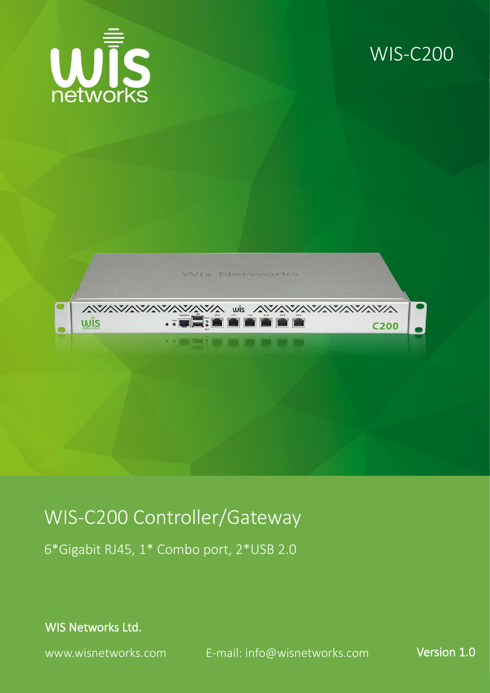

#### WIS-C200



#### WIS-C200 Controller/Gateway

6\*Gigabit RJ45, 1\* Combo port, 2\*USB 2.0

WIS Networks Ltd.

www.wisnetworks.com E-mail: [info@wisnetworks.com](mailto:info@wisnetworks.com) Version 1.0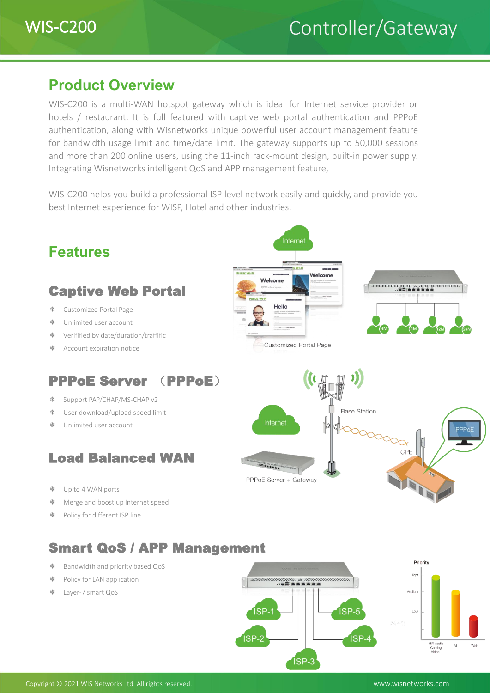

#### **Product Overview**

WIS-C200 is a multi-WAN hotspot gateway which is ideal for Internet service provider or hotels / restaurant. It is full featured with captive web portal authentication and PPPoE authentication, along with Wisnetworks unique powerful user account management feature for bandwidth usage limit and time/date limit. The gateway supports up to 50,000 sessions and more than 200 online users, using the 11-inch rack-mount design, built-in power supply. Integrating Wisnetworks intelligent QoS and APP management feature,

WIS-C200 helps you build a professional ISP level network easily and quickly, and provide you best Internet experience for WISP, Hotel and other industries.



ISP-3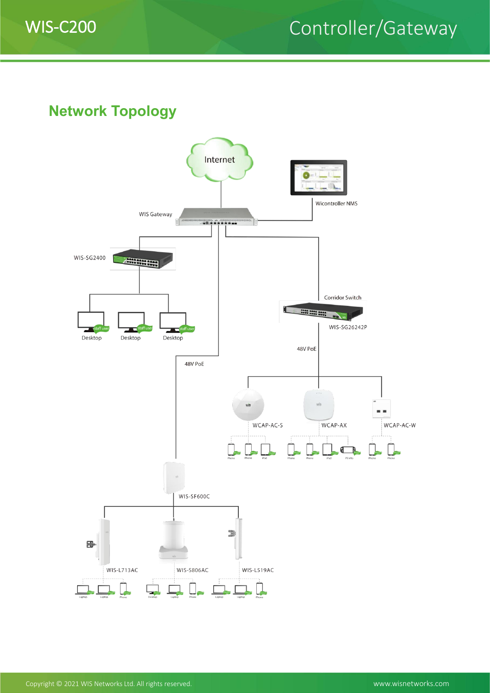

### WIS-C200 Controller/Gateway

**Network Topology**

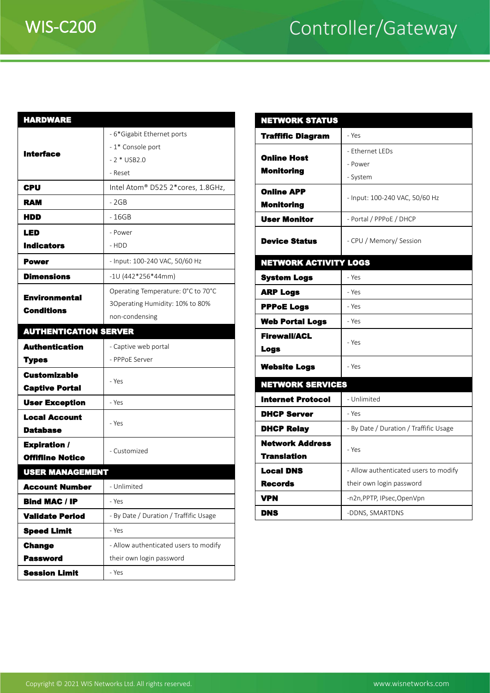# WIS-C200 Controller/Gateway

| <b>HARDWARE</b>              |                                        | <b>NETWORKS</b>                         |
|------------------------------|----------------------------------------|-----------------------------------------|
| <b>Interface</b>             | - 6*Gigabit Ethernet ports             | <b>Traffific Dia</b>                    |
|                              | - 1* Console port                      |                                         |
|                              | $-2 * USB2.0$                          | <b>Online Host</b>                      |
|                              | - Reset                                | <b>Monitoring</b>                       |
| CPU                          | Intel Atom® D525 2*cores, 1.8GHz,      | <b>Online APP</b>                       |
| <b>RAM</b>                   | $-2GB$                                 | <b>Monitoring</b>                       |
| HDD                          | $-16GB$                                | <b>User Monito</b>                      |
| LED                          | - Power                                |                                         |
| <b>Indicators</b>            | - HDD                                  | <b>Device State</b>                     |
| <b>Power</b>                 | - Input: 100-240 VAC, 50/60 Hz         | <b>NETWORK A</b>                        |
| <b>Dimensions</b>            | $-10(442*256*44mm)$                    | <b>System Logs</b>                      |
| <b>Environmental</b>         | Operating Temperature: 0°C to 70°C     | <b>ARP Logs</b>                         |
| <b>Conditions</b>            | 3Operating Humidity: 10% to 80%        | <b>PPPoE Logs</b>                       |
|                              | non-condensing                         | <b>Web Portal</b>                       |
| <b>AUTHENTICATION SERVER</b> |                                        | <b>Firewall/ACI</b>                     |
| <b>Authentication</b>        | - Captive web portal                   | <b>Logs</b>                             |
| <b>Types</b>                 | - PPPoE Server                         | <b>Website Log</b>                      |
| <b>Customizable</b>          | - Yes                                  | <b>NETWORKS</b>                         |
| <b>Captive Portal</b>        |                                        | <b>Internet Pro</b>                     |
| <b>User Exception</b>        | - Yes                                  | <b>DHCP Serve</b>                       |
| <b>Local Account</b>         | - Yes                                  |                                         |
| <b>Database</b>              |                                        | <b>DHCP Relay</b>                       |
| <b>Expiration /</b>          | - Customized                           | <b>Network Ad</b><br><b>Translation</b> |
| <b>Offifiine Notice</b>      |                                        | <b>Local DNS</b>                        |
| <b>USER MANAGEMENT</b>       |                                        | <b>Records</b>                          |
| <b>Account Number</b>        | - Unlimited                            | <b>VPN</b>                              |
| <b>Bind MAC / IP</b>         | - Yes                                  | <b>DNS</b>                              |
| <b>Validate Period</b>       | - By Date / Duration / Traffific Usage |                                         |
| <b>Speed Limit</b>           | - Yes                                  |                                         |
| <b>Change</b>                | - Allow authenticated users to modify  |                                         |
| <b>Password</b>              | their own login password               |                                         |
| <b>Session Limit</b>         | - Yes                                  |                                         |

| <b>NETWORK STATUS</b>                  |                                        |  |  |  |  |
|----------------------------------------|----------------------------------------|--|--|--|--|
| <b>Traffific Diagram</b>               | - Yes                                  |  |  |  |  |
| <b>Online Host</b>                     | - Ethernet LEDs                        |  |  |  |  |
| <b>Monitoring</b>                      | - Power                                |  |  |  |  |
|                                        | - System                               |  |  |  |  |
| <b>Online APP</b><br><b>Monitoring</b> | - Input: 100-240 VAC, 50/60 Hz         |  |  |  |  |
| <b>User Monitor</b>                    | - Portal / PPPoE / DHCP                |  |  |  |  |
| <b>Device Status</b>                   | - CPU / Memory/ Session                |  |  |  |  |
| <b>NETWORK ACTIVITY LOGS</b>           |                                        |  |  |  |  |
| <b>System Logs</b>                     | - Yes                                  |  |  |  |  |
| <b>ARP Logs</b>                        | - Yes                                  |  |  |  |  |
| <b>PPPoE Logs</b>                      | - Yes                                  |  |  |  |  |
| <b>Web Portal Logs</b>                 | - Yes                                  |  |  |  |  |
| <b>Firewall/ACL</b><br><b>Logs</b>     | - Yes                                  |  |  |  |  |
| <b>Website Logs</b>                    | - Yes                                  |  |  |  |  |
| <b>NETWORK SERVICES</b>                |                                        |  |  |  |  |
| <b>Internet Protocol</b>               | - Unlimited                            |  |  |  |  |
| <b>DHCP Server</b>                     | - Yes                                  |  |  |  |  |
| <b>DHCP Relay</b>                      | - By Date / Duration / Traffific Usage |  |  |  |  |
| <b>Network Address</b>                 | - Yes                                  |  |  |  |  |
| <b>Translation</b>                     |                                        |  |  |  |  |
| <b>Local DNS</b>                       | - Allow authenticated users to modify  |  |  |  |  |
| <b>Records</b>                         | their own login password               |  |  |  |  |
| <b>VPN</b>                             | -n2n, PPTP, IPsec, OpenVpn             |  |  |  |  |
| <b>DNS</b>                             | -DDNS, SMARTDNS                        |  |  |  |  |